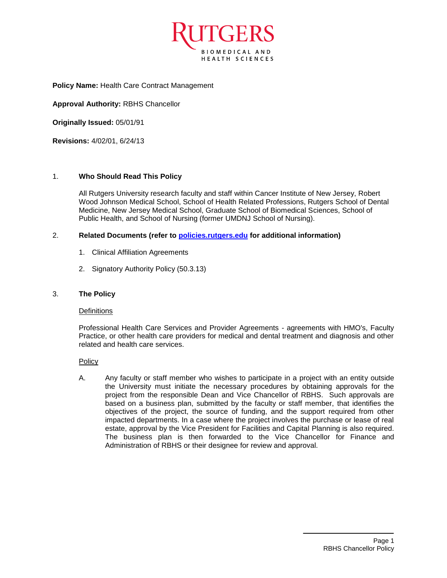

**Policy Name:** Health Care Contract Management

**Approval Authority:** RBHS Chancellor

**Originally Issued:** 05/01/91

**Revisions:** 4/02/01, 6/24/13

## 1. **Who Should Read This Policy**

All Rutgers University research faculty and staff within Cancer Institute of New Jersey, Robert Wood Johnson Medical School, School of Health Related Professions, Rutgers School of Dental Medicine, New Jersey Medical School, Graduate School of Biomedical Sciences, School of Public Health, and School of Nursing (former UMDNJ School of Nursing).

### 2. **Related Documents (refer to [policies.rutgers.edu](file:///C:/Users/rsedlackpr001/Documents/Rutgers/Policies/RBHS%20Policies/policies.rutgers.edu) for additional information)**

- 1. Clinical Affiliation Agreements
- 2. Signatory Authority Policy (50.3.13)

### 3. **The Policy**

### **Definitions**

Professional Health Care Services and Provider Agreements - agreements with HMO's, Faculty Practice, or other health care providers for medical and dental treatment and diagnosis and other related and health care services.

Policy

A. Any faculty or staff member who wishes to participate in a project with an entity outside the University must initiate the necessary procedures by obtaining approvals for the project from the responsible Dean and Vice Chancellor of RBHS. Such approvals are based on a business plan, submitted by the faculty or staff member, that identifies the objectives of the project, the source of funding, and the support required from other impacted departments. In a case where the project involves the purchase or lease of real estate, approval by the Vice President for Facilities and Capital Planning is also required. The business plan is then forwarded to the Vice Chancellor for Finance and Administration of RBHS or their designee for review and approval.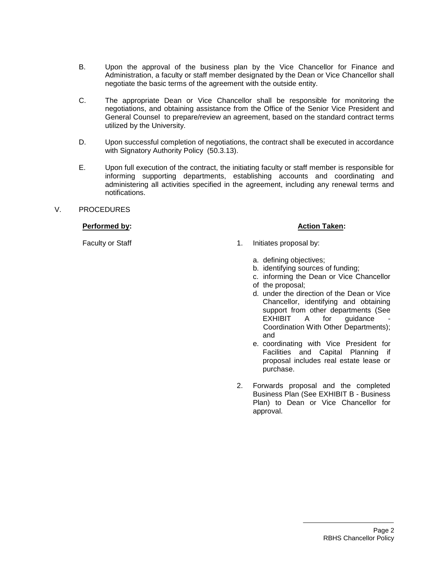- B. Upon the approval of the business plan by the Vice Chancellor for Finance and Administration, a faculty or staff member designated by the Dean or Vice Chancellor shall negotiate the basic terms of the agreement with the outside entity.
- C. The appropriate Dean or Vice Chancellor shall be responsible for monitoring the negotiations, and obtaining assistance from the Office of the Senior Vice President and General Counsel to prepare/review an agreement, based on the standard contract terms utilized by the University.
- D. Upon successful completion of negotiations, the contract shall be executed in accordance with Signatory Authority Policy (50.3.13).
- E. Upon full execution of the contract, the initiating faculty or staff member is responsible for informing supporting departments, establishing accounts and coordinating and administering all activities specified in the agreement, including any renewal terms and notifications.

## V. PROCEDURES

## **Performed by: Action Taken: Action Taken: Action Taken:**

Faculty or Staff 1. Initiates proposal by:

- 
- a. defining objectives;
- b. identifying sources of funding;
- c. informing the Dean or Vice Chancellor
- of the proposal;
- d. under the direction of the Dean or Vice Chancellor, identifying and obtaining support from other departments (See EXHIBIT A for guidance Coordination With Other Departments); and
- e. coordinating with Vice President for Facilities and Capital Planning if proposal includes real estate lease or purchase.
- 2. Forwards proposal and the completed Business Plan (See EXHIBIT B - Business Plan) to Dean or Vice Chancellor for approval.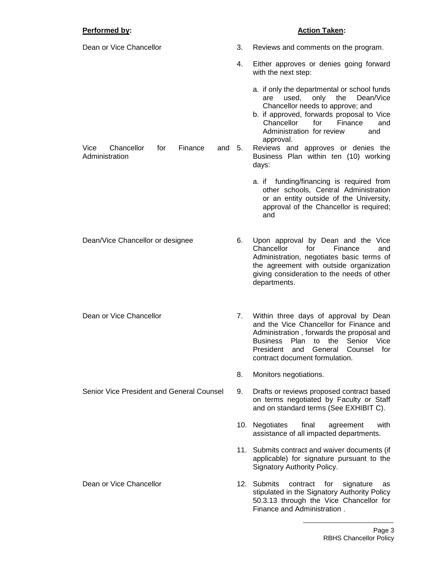# **Performed by: Action Taken: Action Taken:**

| Dean or Vice Chancellor                                            | 3. | Reviews and comments on the program.                                                                                                                                                                                                                                                                                                                     |
|--------------------------------------------------------------------|----|----------------------------------------------------------------------------------------------------------------------------------------------------------------------------------------------------------------------------------------------------------------------------------------------------------------------------------------------------------|
|                                                                    | 4. | Either approves or denies going forward<br>with the next step:                                                                                                                                                                                                                                                                                           |
| Chancellor<br>Vice<br>for<br>Finance<br>and $5.$<br>Administration |    | a. if only the departmental or school funds<br>used,<br>only<br>the<br>Dean/Vice<br>are<br>Chancellor needs to approve; and<br>b. if approved, forwards proposal to Vice<br>Chancellor<br>for<br>Finance<br>and<br>Administration for review<br>and<br>approval.<br>Reviews and approves or denies the<br>Business Plan within ten (10) working<br>days: |
|                                                                    |    | a. if funding/financing is required from<br>other schools, Central Administration<br>or an entity outside of the University,<br>approval of the Chancellor is required;<br>and                                                                                                                                                                           |
| Dean/Vice Chancellor or designee                                   | 6. | Upon approval by Dean and the Vice<br>for<br>Chancellor<br>Finance<br>and<br>Administration, negotiates basic terms of<br>the agreement with outside organization<br>giving consideration to the needs of other<br>departments.                                                                                                                          |
| Dean or Vice Chancellor                                            | 7. | Within three days of approval by Dean<br>and the Vice Chancellor for Finance and<br>Administration, forwards the proposal and<br>Senior Vice<br>Plan<br>the<br>Business<br>to<br>General<br>President<br>and<br>Counsel<br>for<br>contract document formulation.                                                                                         |
|                                                                    | 8. | Monitors negotiations.                                                                                                                                                                                                                                                                                                                                   |
| Senior Vice President and General Counsel                          | 9. | Drafts or reviews proposed contract based<br>on terms negotiated by Faculty or Staff<br>and on standard terms (See EXHIBIT C).                                                                                                                                                                                                                           |
|                                                                    |    | 10. Negotiates<br>final<br>with<br>agreement<br>assistance of all impacted departments.                                                                                                                                                                                                                                                                  |
|                                                                    |    | 11. Submits contract and waiver documents (if<br>applicable) for signature pursuant to the<br>Signatory Authority Policy.                                                                                                                                                                                                                                |
| Dean or Vice Chancellor                                            |    | 12. Submits<br>for<br>contract<br>signature<br>as<br>stipulated in the Signatory Authority Policy<br>50.3.13 through the Vice Chancellor for<br>Finance and Administration.                                                                                                                                                                              |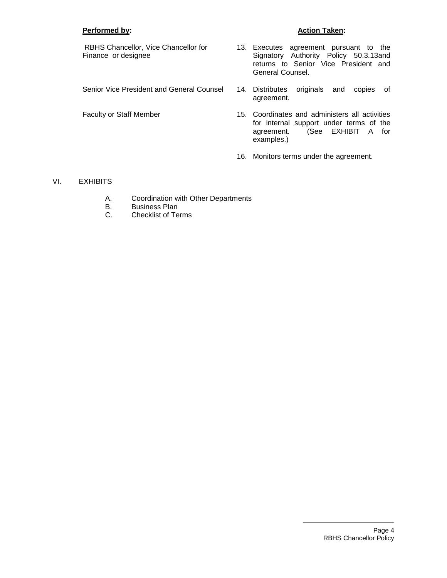## **Performed by: Action Taken:**

RBHS Chancellor, Vice Chancellor for Finance or designee

- 13. Executes agreement pursuant to the Signatory Authority Policy 50.3.13and returns to Senior Vice President and General Counsel.
- Senior Vice President and General Counsel 14. Distributes originals and copies of agreement.
- Faculty or Staff Member 15. Coordinates and administers all activities for internal support under terms of the agreement. (See EXHIBIT A for examples.)
	- 16. Monitors terms under the agreement.

## VI. EXHIBITS

- A. Coordination with Other Departments
- B. Business Plan
- C. Checklist of Terms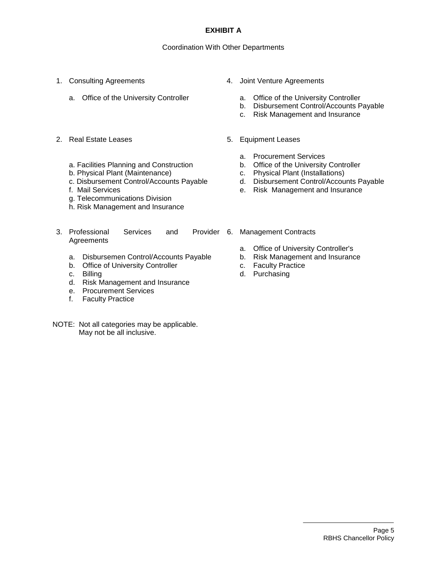## **EXHIBIT A**

## Coordination With Other Departments

- 1. Consulting Agreements
	- a. Office of the University Controller
- 2. Real Estate Leases
	- a. Facilities Planning and Construction
	- b. Physical Plant (Maintenance)
	- c. Disbursement Control/Accounts Payable
	- f. Mail Services
	- g. Telecommunications Division
	- h. Risk Management and Insurance
- 3. Professional Services and **Agreements** 
	- a. Disbursemen Control/Accounts Payable
	- b. Office of University Controller
	- c. Billing
	- d. Risk Management and Insurance
	- e. Procurement Services
	- f. Faculty Practice
- NOTE: Not all categories may be applicable. May not be all inclusive.
- 4. Joint Venture Agreements
	- a. Office of the University Controller
	- b. Disbursement Control/Accounts Payable
	- c. Risk Management and Insurance
- 5. Equipment Leases
	- a. Procurement Services
	- b. Office of the University Controller
	- c. Physical Plant (Installations)
	- d. Disbursement Control/Accounts Payable
	- e. Risk Management and Insurance
- Provider 6. Management Contracts
	- a. Office of University Controller's
	- b. Risk Management and Insurance
	- c. Faculty Practice
	- d. Purchasing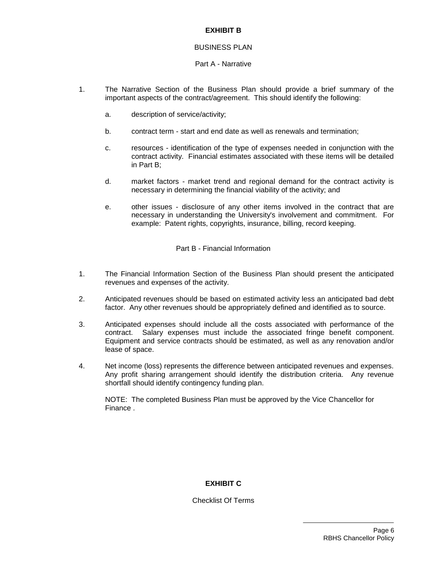## **EXHIBIT B**

## BUSINESS PLAN

## Part A - Narrative

- 1. The Narrative Section of the Business Plan should provide a brief summary of the important aspects of the contract/agreement. This should identify the following:
	- a. description of service/activity;
	- b. contract term start and end date as well as renewals and termination;
	- c. resources identification of the type of expenses needed in conjunction with the contract activity. Financial estimates associated with these items will be detailed in Part B;
	- d. market factors market trend and regional demand for the contract activity is necessary in determining the financial viability of the activity; and
	- e. other issues disclosure of any other items involved in the contract that are necessary in understanding the University's involvement and commitment. For example: Patent rights, copyrights, insurance, billing, record keeping.

Part B - Financial Information

- 1. The Financial Information Section of the Business Plan should present the anticipated revenues and expenses of the activity.
- 2. Anticipated revenues should be based on estimated activity less an anticipated bad debt factor. Any other revenues should be appropriately defined and identified as to source.
- 3. Anticipated expenses should include all the costs associated with performance of the contract. Salary expenses must include the associated fringe benefit component. Equipment and service contracts should be estimated, as well as any renovation and/or lease of space.
- 4. Net income (loss) represents the difference between anticipated revenues and expenses. Any profit sharing arrangement should identify the distribution criteria. Any revenue shortfall should identify contingency funding plan.

NOTE: The completed Business Plan must be approved by the Vice Chancellor for Finance .

## **EXHIBIT C**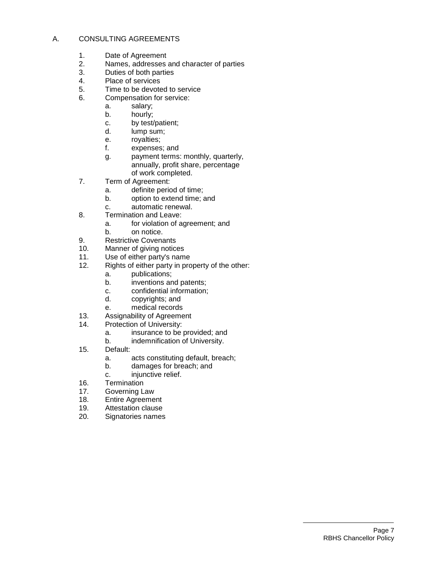## A. CONSULTING AGREEMENTS

- 1. Date of Agreement
- 2. Names, addresses and character of parties<br>3. Duties of both parties
- Duties of both parties
- 4. Place of services
- 5. Time to be devoted to service
- 6. Compensation for service:
	- a. salary;
	- b. hourly;
	- c. by test/patient;
	- d. lump sum;
	- e. royalties;
	- f. expenses; and
	- g. payment terms: monthly, quarterly, annually, profit share, percentage of work completed.
- 7. Term of Agreement:
	- a. definite period of time;
	- b. option to extend time; and
	- c. automatic renewal.
- 8. Termination and Leave:
	- a. for violation of agreement; and
	- b. on notice.
- 9. Restrictive Covenants
- 10. Manner of giving notices<br>11. Use of either party's nam
- Use of either party's name
- 12. Rights of either party in property of the other:
	- a. publications;
	- b. inventions and patents;
	- c. confidential information;
	- d. copyrights; and
	- e. medical records
- 13. Assignability of Agreement
- 14. Protection of University:
	- a. insurance to be provided; and
	- b. indemnification of University.
- 15. Default:
	- a. acts constituting default, breach;
	- b. damages for breach; and
	- c. injunctive relief.
- 16. Termination
- 17. Governing Law
- 18. Entire Agreement
- 19. Attestation clause
- 20. Signatories names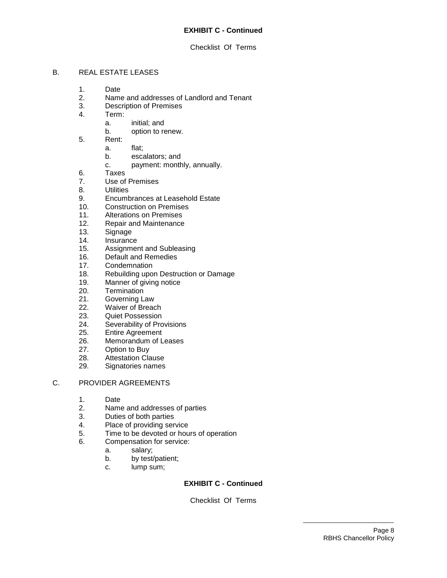## Checklist Of Terms

## B. REAL ESTATE LEASES

- 1. Date
- 2. Name and addresses of Landlord and Tenant
- 3. Description of Premises
- 4. Term:
	- a. initial; and
	- b. option to renew.
- 5. Rent:
	- a. flat;
		- b. escalators; and
		- c. payment: monthly, annually.
- 6. Taxes
- 7. Use of Premises
- 8. Utilities
- 9. Encumbrances at Leasehold Estate
- 10. Construction on Premises
- 11. Alterations on Premises
- 12. Repair and Maintenance
- 13. Signage
- 14. Insurance
- 15. Assignment and Subleasing
- 16. Default and Remedies
- 17. Condemnation
- 18. Rebuilding upon Destruction or Damage
- 19. Manner of giving notice
- 20. Termination
- 21. Governing Law
- 22. Waiver of Breach
- 23. Quiet Possession
- 24. Severability of Provisions
- 25. Entire Agreement
- 26. Memorandum of Leases<br>27. Option to Buy
- 27. Option to Buy<br>28. Attestation Cla
- Attestation Clause
- 29. Signatories names

## C. PROVIDER AGREEMENTS

- 1. Date
- 2. Name and addresses of parties
- 3. Duties of both parties
- 4. Place of providing service
- 5. Time to be devoted or hours of operation
- 6. Compensation for service:
	- a. salary;
	- b. by test/patient;
	- c. lump sum;

## **EXHIBIT C - Continued**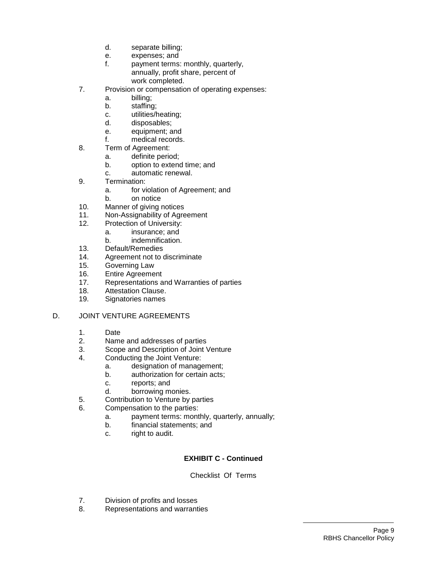- d. separate billing;
- e. expenses; and
- f. payment terms: monthly, quarterly, annually, profit share, percent of work completed.
- 7. Provision or compensation of operating expenses:
	- a. billing;
	- b. staffing;
	- c. utilities/heating;
	- d. disposables;
	- e. equipment; and
	- f. medical records.
- 8. Term of Agreement:
	- a. definite period;
	- b. option to extend time; and
	- c. automatic renewal.
- 9. Termination:
	- a. for violation of Agreement; and
	- b. on notice
- 10. Manner of giving notices
- 11. Non-Assignability of Agreement
- 12. Protection of University:
	- a. insurance; and
	- b. indemnification.
- 13. Default/Remedies
- 14. Agreement not to discriminate
- 15. Governing Law
- 16. Entire Agreement
- 17. Representations and Warranties of parties
- 18. Attestation Clause.
- 19. Signatories names

## D. JOINT VENTURE AGREEMENTS

- 1. Date
- 2. Name and addresses of parties<br>3. Scope and Description of Joint \
- 3. Scope and Description of Joint Venture<br>4. Conducting the Joint Venture:
- Conducting the Joint Venture:
	- a. designation of management;
	- b. authorization for certain acts;
	- c. reports; and
	- d. borrowing monies.
- 5. Contribution to Venture by parties
- 6. Compensation to the parties:
	- a. payment terms: monthly, quarterly, annually;
	- b. financial statements; and
	- c. right to audit.

## **EXHIBIT C - Continued**

- 7. Division of profits and losses
- 8. Representations and warranties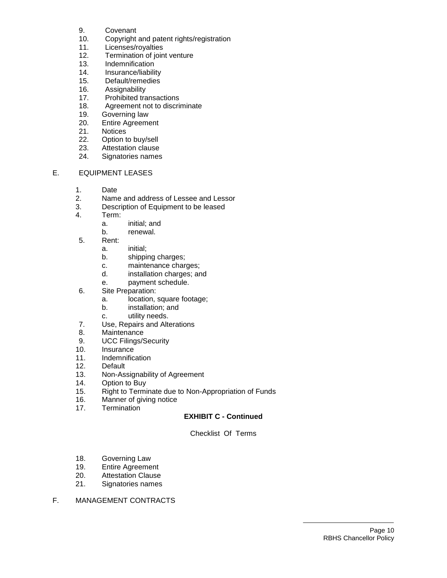- 9. Covenant
- 10. Copyright and patent rights/registration
- 11. Licenses/royalties
- 12. Termination of joint venture
- 13. Indemnification<br>14. Insurance/liabili
- Insurance/liability
- 15. Default/remedies
- 16. Assignability
- 17. Prohibited transactions
- 18. Agreement not to discriminate
- 19. Governing law
- 20. Entire Agreement
- 21. Notices
- 22. Option to buy/sell
- 23. Attestation clause
- 24. Signatories names

# E. EQUIPMENT LEASES

- 1. Date
- 2. Name and address of Lessee and Lessor
- 3. Description of Equipment to be leased
- 4. Term:
	- a. initial; and
	- b. renewal.
- 5. Rent:
	- a. initial;
	- b. shipping charges;
	- c. maintenance charges;
	- d. installation charges; and
	- e. payment schedule.
- 6. Site Preparation:
	- a. location, square footage;
	- b. installation; and
	- c. utility needs.
- 7. Use, Repairs and Alterations
- 8. Maintenance
- 9. UCC Filings/Security
- 10. Insurance<br>11. Indemnifica
- **Indemnification**
- 12. Default
- 13. Non-Assignability of Agreement
- 14. Option to Buy
- 15. Right to Terminate due to Non-Appropriation of Funds
- 16. Manner of giving notice
- 17. Termination

## **EXHIBIT C - Continued**

- 18. Governing Law
- 19. Entire Agreement
- 20. Attestation Clause
- 21. Signatories names
- F. MANAGEMENT CONTRACTS